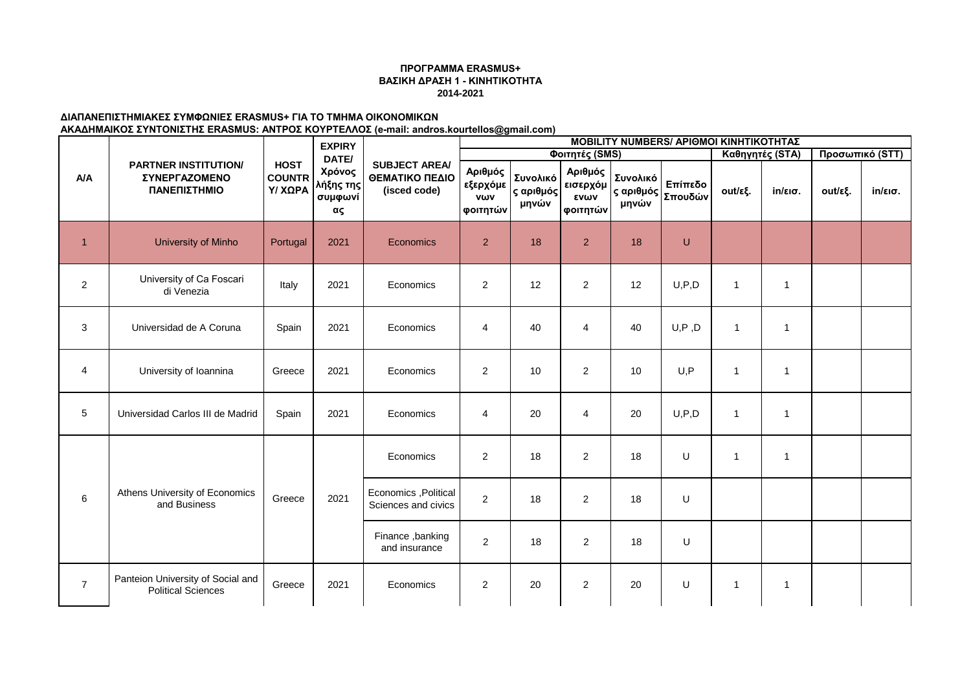## **ΠΡΟΓΡΑΜΜΑ ERASMUS+ ΒΑΣΙΚΗ ΔΡΑΣΗ 1 - ΚΙΝΗΤΙΚΟΤΗΤΑ 2014-2021**

## **ΔΙΑΠΑΝΕΠΙΣΤΗΜΙΑΚΕΣ ΣΥΜΦΩΝΙΕΣ ERASMUS+ ΓΙΑ ΤΟ ΤΜΗΜΑ ΟΙΚΟΝΟΜΙΚΩΝ ΑΚΑΔΗΜΑΙΚΟΣ ΣΥΝΤΟΝΙΣΤΗΣ ERASMUS: ΑΝΤΡΟΣ ΚΟΥΡΤΕΛΛΟΣ (e-mail: andros.kourtellos@gmail.com)**

|                |                                                                |                                         | <b>EXPIRY</b>                        |                                                        |                                        |                                |                                         |                   | <b>MOBILITY NUMBERS/ APIOMOI KINHTIKOTHTAΣ</b> |                 |                   |                 |                   |
|----------------|----------------------------------------------------------------|-----------------------------------------|--------------------------------------|--------------------------------------------------------|----------------------------------------|--------------------------------|-----------------------------------------|-------------------|------------------------------------------------|-----------------|-------------------|-----------------|-------------------|
|                |                                                                | <b>HOST</b><br><b>COUNTR</b><br>Υ/ ΧΩΡΑ | DATE/                                |                                                        |                                        |                                | Φοιτητές (SMS)                          |                   |                                                | Καθηγητές (STA) |                   | Προσωπικό (STT) |                   |
| A/A            | <b>PARTNER INSTITUTION/</b><br>ΣΥΝΕΡΓΑΖΟΜΕΝΟ<br>ΠΑΝΕΠΙΣΤΗΜΙΟ   |                                         | Χρόνος<br>λήξης της<br>συμφωνί<br>ας | <b>SUBJECT AREA/</b><br>ΘΕΜΑΤΙΚΟ ΠΕΔΙΟ<br>(isced code) | Αριθμός<br>εξερχόμε<br>νων<br>φοιτητών | Συνολικό<br>ς αριθμός<br>μηνών | Αριθμός<br>εισερχόμ<br>ενων<br>φοιτητών | Συνολικό<br>μηνών | Επίπεδο<br> ς αριθμός   Σπουδών '              | out/εξ.         | $in/\epsilon$ ισ. | out/εξ.         | $in/\epsilon$ ισ. |
| $\overline{1}$ | <b>University of Minho</b>                                     | Portugal                                | 2021                                 | Economics                                              | 2                                      | 18                             | $\overline{2}$                          | 18                | U                                              |                 |                   |                 |                   |
| $\overline{2}$ | University of Ca Foscari<br>di Venezia                         | Italy                                   | 2021                                 | Economics                                              | $\overline{2}$                         | 12                             | $\overline{2}$                          | 12                | U, P, D                                        | 1               | $\mathbf{1}$      |                 |                   |
| 3              | Universidad de A Coruna                                        | Spain                                   | 2021                                 | Economics                                              | 4                                      | 40                             | $\overline{4}$                          | 40                | U, P, D                                        | $\mathbf{1}$    | $\overline{1}$    |                 |                   |
| 4              | University of Ioannina                                         | Greece                                  | 2021                                 | Economics                                              | $\overline{2}$                         | 10                             | $\overline{2}$                          | 10                | U, P                                           | 1               | $\overline{1}$    |                 |                   |
| 5              | Universidad Carlos III de Madrid                               | Spain                                   | 2021                                 | Economics                                              | $\overline{4}$                         | 20                             | $\overline{4}$                          | 20                | U, P, D                                        | 1               | $\overline{1}$    |                 |                   |
|                |                                                                |                                         |                                      | Economics                                              | 2                                      | 18                             | $\overline{2}$                          | 18                | U                                              | 1               | $\overline{1}$    |                 |                   |
| 6              | Athens University of Economics<br>and Business                 | Greece                                  | 2021                                 | Economics , Political<br>Sciences and civics           | $\overline{2}$                         | 18                             | $\overline{2}$                          | 18                | U                                              |                 |                   |                 |                   |
|                |                                                                |                                         |                                      | Finance, banking<br>and insurance                      | 2                                      | 18                             | $\overline{2}$                          | 18                | U                                              |                 |                   |                 |                   |
| $\overline{7}$ | Panteion University of Social and<br><b>Political Sciences</b> | Greece                                  | 2021                                 | Economics                                              | $\overline{2}$                         | 20                             | $\overline{2}$                          | 20                | U                                              | 1               | $\mathbf{1}$      |                 |                   |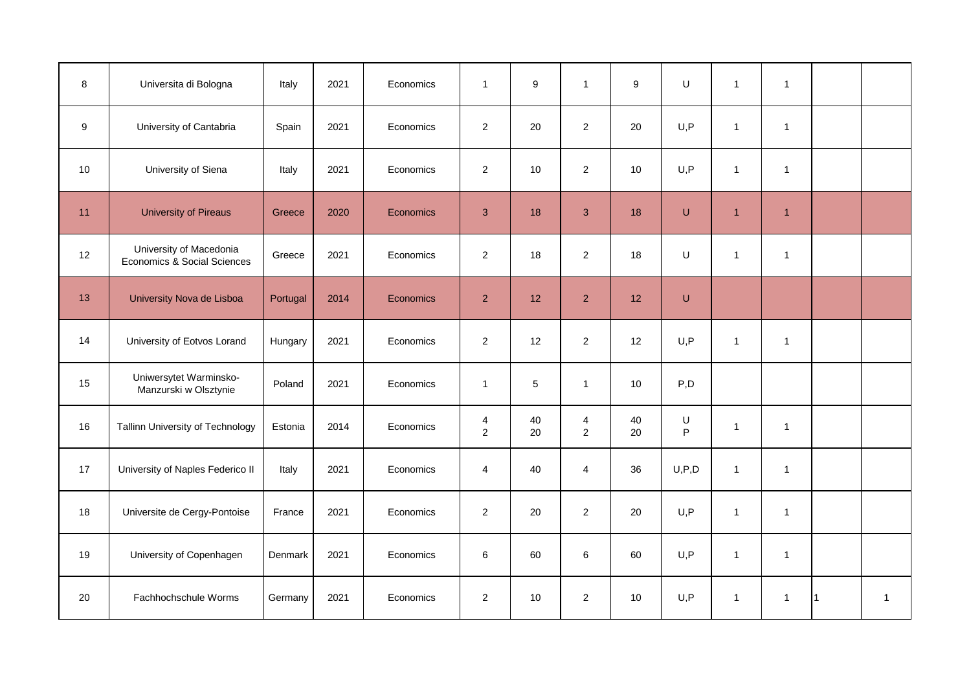| 8  | Universita di Bologna                                  | Italy    | 2021 | Economics | $\mathbf{1}$        | 9        | $\mathbf{1}$                     | $\boldsymbol{9}$ | U            | $\mathbf{1}$   | $\overline{1}$ |              |
|----|--------------------------------------------------------|----------|------|-----------|---------------------|----------|----------------------------------|------------------|--------------|----------------|----------------|--------------|
| 9  | University of Cantabria                                | Spain    | 2021 | Economics | $\overline{2}$      | 20       | $\overline{2}$                   | 20               | U, P         | $\mathbf{1}$   | $\overline{1}$ |              |
| 10 | University of Siena                                    | Italy    | 2021 | Economics | $\overline{2}$      | 10       | $\overline{2}$                   | 10               | U, P         | $\mathbf{1}$   | $\overline{1}$ |              |
| 11 | <b>University of Pireaus</b>                           | Greece   | 2020 | Economics | 3                   | 18       | $\mathbf{3}$                     | 18               | U            | $\overline{1}$ | $\overline{1}$ |              |
| 12 | University of Macedonia<br>Economics & Social Sciences | Greece   | 2021 | Economics | 2                   | 18       | $\overline{2}$                   | 18               | U            | $\mathbf{1}$   | $\overline{1}$ |              |
| 13 | University Nova de Lisboa                              | Portugal | 2014 | Economics | $\overline{2}$      | 12       | $\overline{2}$                   | 12               | U            |                |                |              |
| 14 | University of Eotvos Lorand                            | Hungary  | 2021 | Economics | 2                   | 12       | $\overline{2}$                   | 12               | U, P         | $\mathbf{1}$   | $\overline{1}$ |              |
| 15 | Uniwersytet Warminsko-<br>Manzurski w Olsztynie        | Poland   | 2021 | Economics | $\mathbf{1}$        | 5        | $\mathbf{1}$                     | 10               | P,D          |                |                |              |
| 16 | Tallinn University of Technology                       | Estonia  | 2014 | Economics | 4<br>$\overline{2}$ | 40<br>20 | $\overline{4}$<br>$\overline{2}$ | 40<br>20         | U<br>$\sf P$ | $\mathbf{1}$   | $\overline{1}$ |              |
| 17 | University of Naples Federico II                       | Italy    | 2021 | Economics | $\overline{4}$      | 40       | $\overline{4}$                   | 36               | U, P, D      | $\mathbf{1}$   | $\overline{1}$ |              |
| 18 | Universite de Cergy-Pontoise                           | France   | 2021 | Economics | $\overline{2}$      | 20       | $\overline{2}$                   | 20               | U, P         | $\mathbf{1}$   | $\overline{1}$ |              |
| 19 | University of Copenhagen                               | Denmark  | 2021 | Economics | 6                   | 60       | 6                                | 60               | U, P         | $\mathbf{1}$   | $\overline{1}$ |              |
| 20 | Fachhochschule Worms                                   | Germany  | 2021 | Economics | $\overline{2}$      | 10       | $\overline{2}$                   | 10               | U, P         | $\mathbf{1}$   | $\overline{1}$ | $\mathbf{1}$ |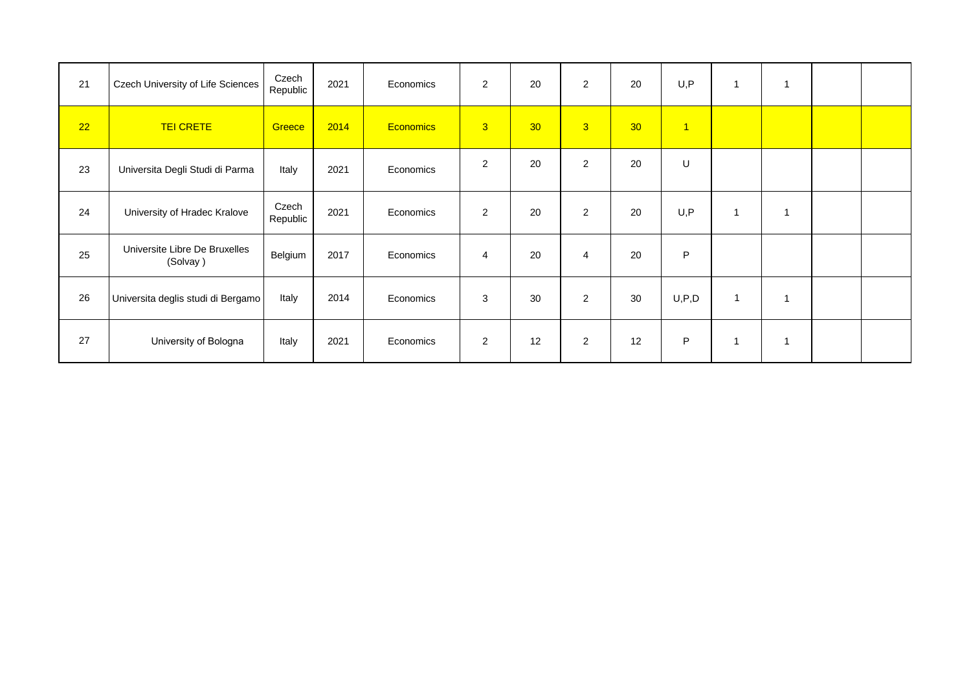| 21 | Czech University of Life Sciences         | Czech<br>Republic | 2021 | Economics        | $\overline{2}$ | 20 | $\overline{2}$ | 20              | U, P           | 1            | 1              |  |
|----|-------------------------------------------|-------------------|------|------------------|----------------|----|----------------|-----------------|----------------|--------------|----------------|--|
| 22 | <b>TEI CRETE</b>                          | Greece            | 2014 | <b>Economics</b> | 3 <sup>°</sup> | 30 | 3 <sup>2</sup> | 30 <sub>o</sub> | $\overline{1}$ |              |                |  |
| 23 | Universita Degli Studi di Parma           | Italy             | 2021 | Economics        | 2              | 20 | $\overline{2}$ | 20              | U              |              |                |  |
| 24 | University of Hradec Kralove              | Czech<br>Republic | 2021 | Economics        | $\overline{2}$ | 20 | 2              | 20              | U, P           | 1            | 1              |  |
| 25 | Universite Libre De Bruxelles<br>(Solvay) | Belgium           | 2017 | Economics        | $\overline{4}$ | 20 | $\overline{4}$ | 20              | P              |              |                |  |
| 26 | Universita deglis studi di Bergamo        | Italy             | 2014 | Economics        | 3              | 30 | $\overline{2}$ | 30              | U, P, D        | $\mathbf{1}$ | $\overline{1}$ |  |
| 27 | University of Bologna                     | Italy             | 2021 | Economics        | $\overline{2}$ | 12 | $\overline{2}$ | 12              | P              | 1            | 1              |  |